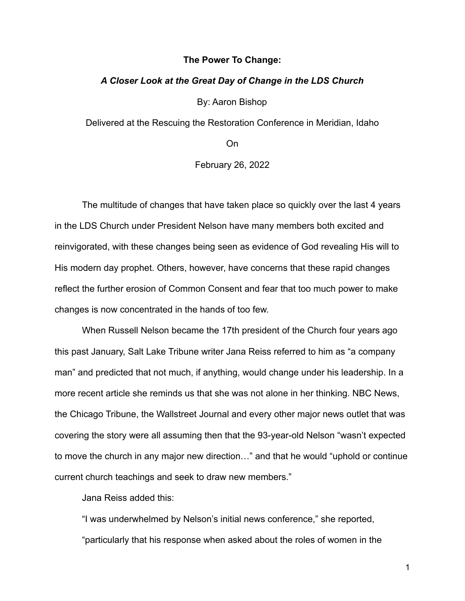### **The Power To Change:**

### *A Closer Look at the Great Day of Change in the LDS Church*

By: Aaron Bishop

Delivered at the Rescuing the Restoration Conference in Meridian, Idaho

On

February 26, 2022

The multitude of changes that have taken place so quickly over the last 4 years in the LDS Church under President Nelson have many members both excited and reinvigorated, with these changes being seen as evidence of God revealing His will to His modern day prophet. Others, however, have concerns that these rapid changes reflect the further erosion of Common Consent and fear that too much power to make changes is now concentrated in the hands of too few.

When Russell Nelson became the 17th president of the Church four years ago this past January, Salt Lake Tribune writer Jana Reiss referred to him as "a company man" and predicted that not much, if anything, would change under his leadership. In a more recent article she reminds us that she was not alone in her thinking. NBC News, the Chicago Tribune, the Wallstreet Journal and every other major news outlet that was covering the story were all assuming then that the 93-year-old Nelson "wasn't expected to move the church in any major new direction…" and that he would "uphold or continue current church teachings and seek to draw new members."

Jana Reiss added this:

"I was underwhelmed by Nelson's initial news conference," she reported, "particularly that his response when asked about the roles of women in the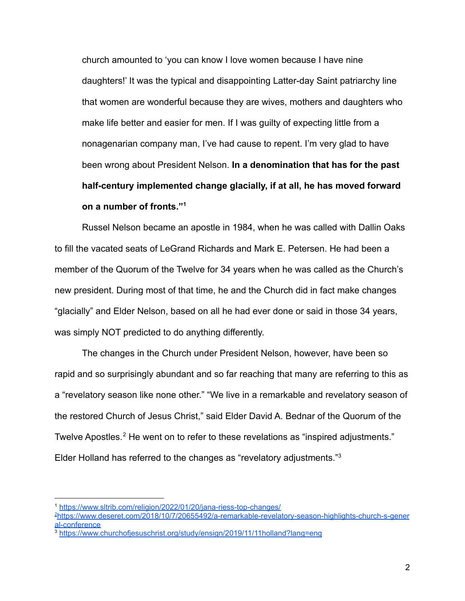church amounted to 'you can know I love women because I have nine daughters!' It was the typical and disappointing Latter-day Saint patriarchy line that women are wonderful because they are wives, mothers and daughters who make life better and easier for men. If I was guilty of expecting little from a nonagenarian company man, I've had cause to repent. I'm very glad to have been wrong about President Nelson. **In a denomination that has for the past half-century implemented change glacially, if at all, he has moved forward on a number of fronts."<sup>1</sup>**

Russel Nelson became an apostle in 1984, when he was called with Dallin Oaks to fill the vacated seats of LeGrand Richards and Mark E. Petersen. He had been a member of the Quorum of the Twelve for 34 years when he was called as the Church's new president. During most of that time, he and the Church did in fact make changes "glacially" and Elder Nelson, based on all he had ever done or said in those 34 years, was simply NOT predicted to do anything differently.

The changes in the Church under President Nelson, however, have been so rapid and so surprisingly abundant and so far reaching that many are referring to this as a "revelatory season like none other." "We live in a remarkable and revelatory season of the restored Church of Jesus Christ," said Elder David A. Bednar of the Quorum of the Twelve Apostles.<sup>2</sup> He went on to refer to these revelations as "inspired adjustments." Elder Holland has referred to the changes as "revelatory adjustments."<sup>3</sup>

<sup>1</sup> <https://www.sltrib.com/religion/2022/01/20/jana-riess-top-changes/>

<sup>2</sup>[https://www.deseret.com/2018/10/7/20655492/a-remarkable-revelatory-season-highlights-church-s-gener](https://www.deseret.com/2018/10/7/20655492/a-remarkable-revelatory-season-highlights-church-s-general-conference) [al-conference](https://www.deseret.com/2018/10/7/20655492/a-remarkable-revelatory-season-highlights-church-s-general-conference)

<sup>3</sup> <https://www.churchofjesuschrist.org/study/ensign/2019/11/11holland?lang=eng>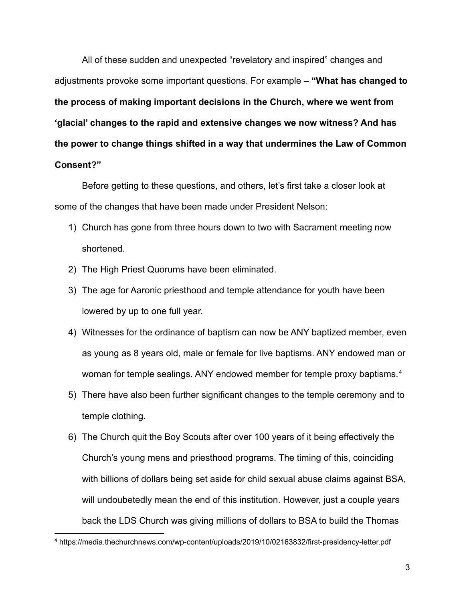All of these sudden and unexpected "revelatory and inspired" changes and adjustments provoke some important questions. For example – **"What has changed to the process of making important decisions in the Church, where we went from 'glacial' changes to the rapid and extensive changes we now witness? And has the power to change things shifted in a way that undermines the Law of Common Consent?"**

Before getting to these questions, and others, let's first take a closer look at some of the changes that have been made under President Nelson:

- 1) Church has gone from three hours down to two with Sacrament meeting now shortened.
- 2) The High Priest Quorums have been eliminated.
- 3) The age for Aaronic priesthood and temple attendance for youth have been lowered by up to one full year.
- 4) Witnesses for the ordinance of baptism can now be ANY baptized member, even as young as 8 years old, male or female for live baptisms. ANY endowed man or woman for temple sealings. ANY endowed member for temple proxy baptisms.<sup>4</sup>
- 5) There have also been further significant changes to the temple ceremony and to temple clothing.
- 6) The Church quit the Boy Scouts after over 100 years of it being effectively the Church's young mens and priesthood programs. The timing of this, coinciding with billions of dollars being set aside for child sexual abuse claims against BSA, will undoubetedly mean the end of this institution. However, just a couple years back the LDS Church was giving millions of dollars to BSA to build the Thomas

<sup>4</sup> https://media.thechurchnews.com/wp-content/uploads/2019/10/02163832/first-presidency-letter.pdf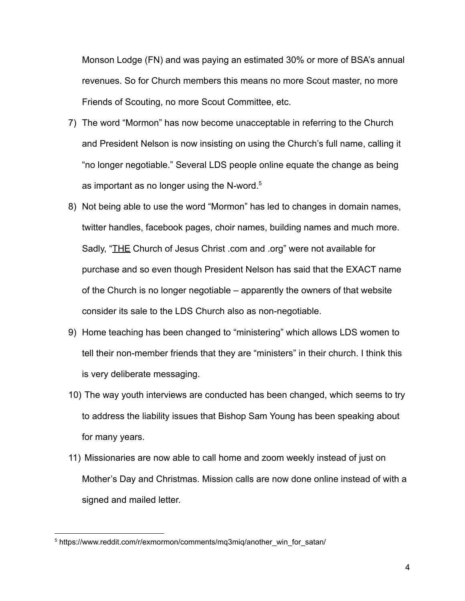Monson Lodge (FN) and was paying an estimated 30% or more of BSA's annual revenues. So for Church members this means no more Scout master, no more Friends of Scouting, no more Scout Committee, etc.

- 7) The word "Mormon" has now become unacceptable in referring to the Church and President Nelson is now insisting on using the Church's full name, calling it "no longer negotiable." Several LDS people online equate the change as being as important as no longer using the N-word. $5$
- 8) Not being able to use the word "Mormon" has led to changes in domain names, twitter handles, facebook pages, choir names, building names and much more. Sadly, "THE Church of Jesus Christ .com and .org" were not available for purchase and so even though President Nelson has said that the EXACT name of the Church is no longer negotiable – apparently the owners of that website consider its sale to the LDS Church also as non-negotiable.
- 9) Home teaching has been changed to "ministering" which allows LDS women to tell their non-member friends that they are "ministers" in their church. I think this is very deliberate messaging.
- 10) The way youth interviews are conducted has been changed, which seems to try to address the liability issues that Bishop Sam Young has been speaking about for many years.
- 11) Missionaries are now able to call home and zoom weekly instead of just on Mother's Day and Christmas. Mission calls are now done online instead of with a signed and mailed letter.

<sup>5</sup> https://www.reddit.com/r/exmormon/comments/mq3miq/another\_win\_for\_satan/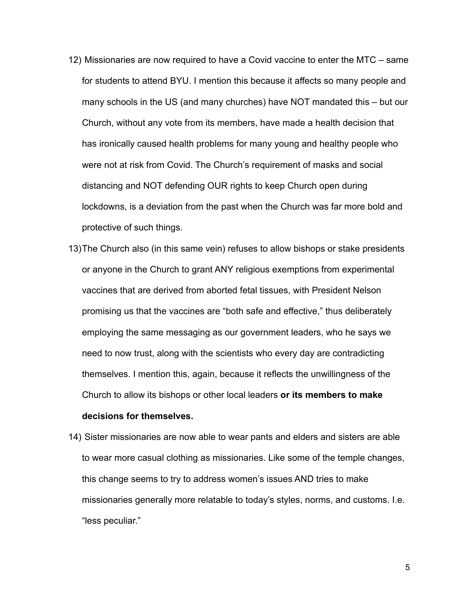- 12) Missionaries are now required to have a Covid vaccine to enter the MTC same for students to attend BYU. I mention this because it affects so many people and many schools in the US (and many churches) have NOT mandated this – but our Church, without any vote from its members, have made a health decision that has ironically caused health problems for many young and healthy people who were not at risk from Covid. The Church's requirement of masks and social distancing and NOT defending OUR rights to keep Church open during lockdowns, is a deviation from the past when the Church was far more bold and protective of such things.
- 13)The Church also (in this same vein) refuses to allow bishops or stake presidents or anyone in the Church to grant ANY religious exemptions from experimental vaccines that are derived from aborted fetal tissues, with President Nelson promising us that the vaccines are "both safe and effective," thus deliberately employing the same messaging as our government leaders, who he says we need to now trust, along with the scientists who every day are contradicting themselves. I mention this, again, because it reflects the unwillingness of the Church to allow its bishops or other local leaders **or its members to make**
- 14) Sister missionaries are now able to wear pants and elders and sisters are able to wear more casual clothing as missionaries. Like some of the temple changes, this change seems to try to address women's issues AND tries to make missionaries generally more relatable to today's styles, norms, and customs. I.e. "less peculiar."

### **decisions for themselves.**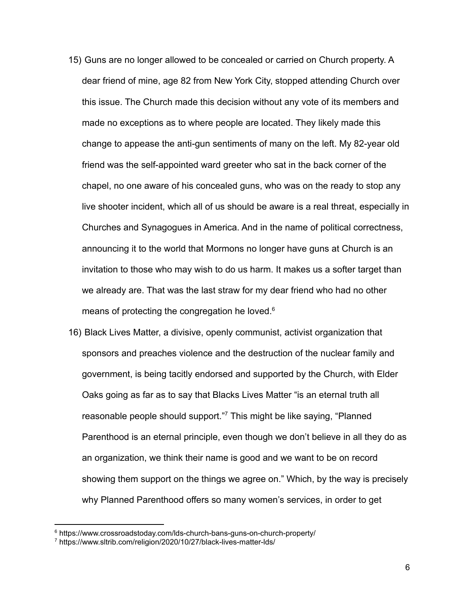- 15) Guns are no longer allowed to be concealed or carried on Church property. A dear friend of mine, age 82 from New York City, stopped attending Church over this issue. The Church made this decision without any vote of its members and made no exceptions as to where people are located. They likely made this change to appease the anti-gun sentiments of many on the left. My 82-year old friend was the self-appointed ward greeter who sat in the back corner of the chapel, no one aware of his concealed guns, who was on the ready to stop any live shooter incident, which all of us should be aware is a real threat, especially in Churches and Synagogues in America. And in the name of political correctness, announcing it to the world that Mormons no longer have guns at Church is an invitation to those who may wish to do us harm. It makes us a softer target than we already are. That was the last straw for my dear friend who had no other means of protecting the congregation he loved.<sup>6</sup>
- 16) Black Lives Matter, a divisive, openly communist, activist organization that sponsors and preaches violence and the destruction of the nuclear family and government, is being tacitly endorsed and supported by the Church, with Elder Oaks going as far as to say that Blacks Lives Matter "is an eternal truth all reasonable people should support."<sup>7</sup> This might be like saying, "Planned Parenthood is an eternal principle, even though we don't believe in all they do as an organization, we think their name is good and we want to be on record showing them support on the things we agree on." Which, by the way is precisely why Planned Parenthood offers so many women's services, in order to get

<sup>6</sup> https://www.crossroadstoday.com/lds-church-bans-guns-on-church-property/

<sup>7</sup> https://www.sltrib.com/religion/2020/10/27/black-lives-matter-lds/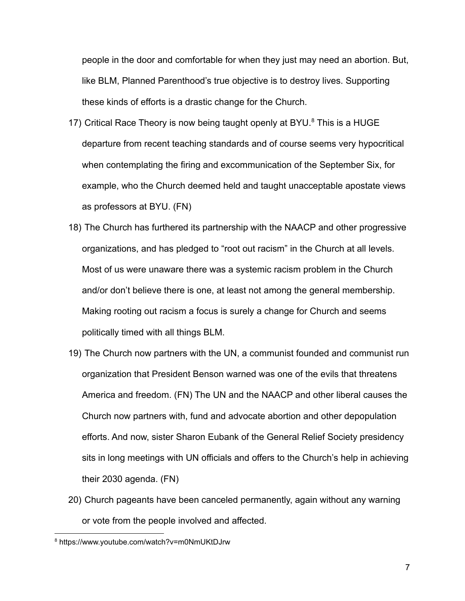people in the door and comfortable for when they just may need an abortion. But, like BLM, Planned Parenthood's true objective is to destroy lives. Supporting these kinds of efforts is a drastic change for the Church.

- 17) Critical Race Theory is now being taught openly at BYU. $8$  This is a HUGE departure from recent teaching standards and of course seems very hypocritical when contemplating the firing and excommunication of the September Six, for example, who the Church deemed held and taught unacceptable apostate views as professors at BYU. (FN)
- 18) The Church has furthered its partnership with the NAACP and other progressive organizations, and has pledged to "root out racism" in the Church at all levels. Most of us were unaware there was a systemic racism problem in the Church and/or don't believe there is one, at least not among the general membership. Making rooting out racism a focus is surely a change for Church and seems politically timed with all things BLM.
- 19) The Church now partners with the UN, a communist founded and communist run organization that President Benson warned was one of the evils that threatens America and freedom. (FN) The UN and the NAACP and other liberal causes the Church now partners with, fund and advocate abortion and other depopulation efforts. And now, sister Sharon Eubank of the General Relief Society presidency sits in long meetings with UN officials and offers to the Church's help in achieving their 2030 agenda. (FN)
- 20) Church pageants have been canceled permanently, again without any warning or vote from the people involved and affected.

<sup>8</sup> https://www.youtube.com/watch?v=m0NmUKtDJrw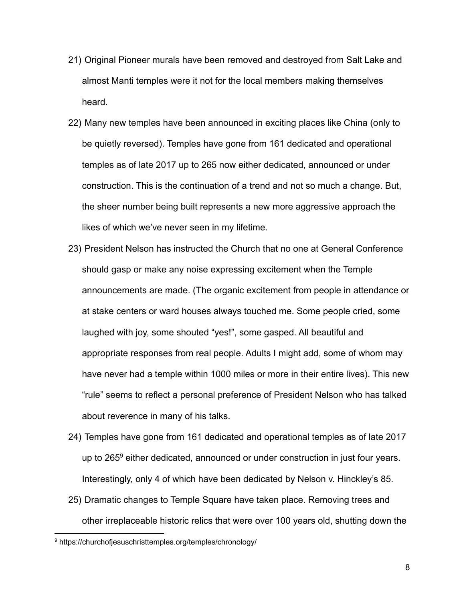- 21) Original Pioneer murals have been removed and destroyed from Salt Lake and almost Manti temples were it not for the local members making themselves heard.
- 22) Many new temples have been announced in exciting places like China (only to be quietly reversed). Temples have gone from 161 dedicated and operational temples as of late 2017 up to 265 now either dedicated, announced or under construction. This is the continuation of a trend and not so much a change. But, the sheer number being built represents a new more aggressive approach the likes of which we've never seen in my lifetime.
- 23) President Nelson has instructed the Church that no one at General Conference should gasp or make any noise expressing excitement when the Temple announcements are made. (The organic excitement from people in attendance or at stake centers or ward houses always touched me. Some people cried, some laughed with joy, some shouted "yes!", some gasped. All beautiful and appropriate responses from real people. Adults I might add, some of whom may have never had a temple within 1000 miles or more in their entire lives). This new "rule" seems to reflect a personal preference of President Nelson who has talked about reverence in many of his talks.
- 24) Temples have gone from 161 dedicated and operational temples as of late 2017 up to 265<sup>9</sup> either dedicated, announced or under construction in just four years. Interestingly, only 4 of which have been dedicated by Nelson v. Hinckley's 85.
- 25) Dramatic changes to Temple Square have taken place. Removing trees and other irreplaceable historic relics that were over 100 years old, shutting down the

<sup>9</sup> https://churchofjesuschristtemples.org/temples/chronology/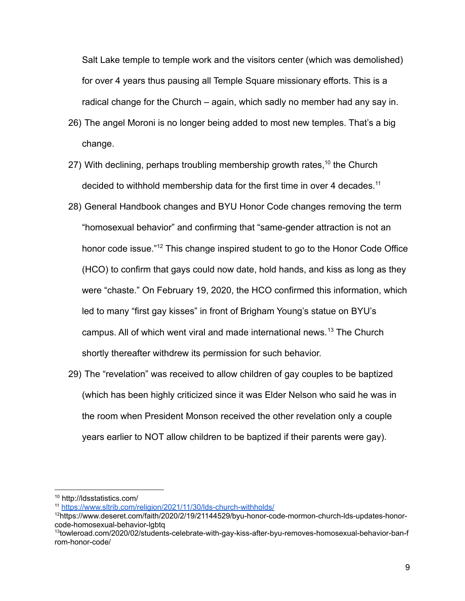Salt Lake temple to temple work and the visitors center (which was demolished) for over 4 years thus pausing all Temple Square missionary efforts. This is a radical change for the Church – again, which sadly no member had any say in.

- 26) The angel Moroni is no longer being added to most new temples. That's a big change.
- 27) With declining, perhaps troubling membership growth rates,<sup>10</sup> the Church decided to withhold membership data for the first time in over 4 decades.<sup>11</sup>
- 28) General Handbook changes and BYU Honor Code changes removing the term "homosexual behavior" and confirming that "same-gender attraction is not an honor code issue."<sup>12</sup> This change inspired student to go to the Honor Code Office (HCO) to confirm that gays could now date, hold hands, and kiss as long as they were "chaste." On February 19, 2020, the HCO confirmed this information, which led to many "first gay kisses" in front of Brigham Young's statue on BYU's campus. All of which went viral and made international news.<sup>13</sup> The Church shortly thereafter withdrew its permission for such behavior.
- 29) The "revelation" was received to allow children of gay couples to be baptized (which has been highly criticized since it was Elder Nelson who said he was in the room when President Monson received the other revelation only a couple years earlier to NOT allow children to be baptized if their parents were gay).

<sup>10</sup> http://ldsstatistics.com/

<sup>11</sup> <https://www.sltrib.com/religion/2021/11/30/lds-church-withholds/>

<sup>12</sup>https://www.deseret.com/faith/2020/2/19/21144529/byu-honor-code-mormon-church-lds-updates-honorcode-homosexual-behavior-lgbtq

<sup>13</sup>towleroad.com/2020/02/students-celebrate-with-gay-kiss-after-byu-removes-homosexual-behavior-ban-f rom-honor-code/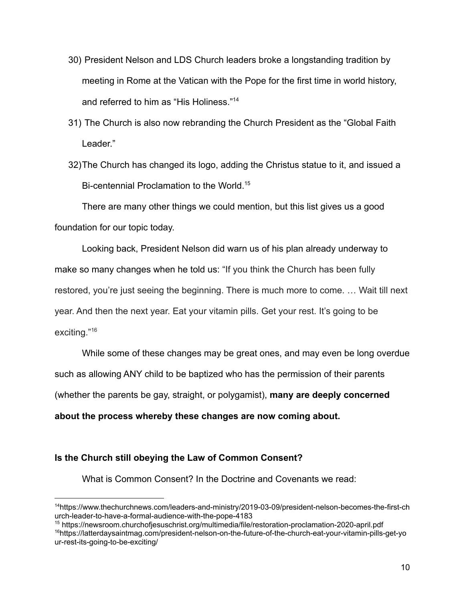- 30) President Nelson and LDS Church leaders broke a longstanding tradition by meeting in Rome at the Vatican with the Pope for the first time in world history, and referred to him as "His Holiness."<sup>14</sup>
- 31) The Church is also now rebranding the Church President as the "Global Faith Leader."
- 32)The Church has changed its logo, adding the Christus statue to it, and issued a Bi-centennial Proclamation to the World.<sup>15</sup>

There are many other things we could mention, but this list gives us a good foundation for our topic today.

Looking back, President Nelson did warn us of his plan already underway to make so many changes when he told us: "If you think the Church has been fully restored, you're just seeing the beginning. There is much more to come. … Wait till next year. And then the next year. Eat your vitamin pills. Get your rest. It's going to be exciting."<sup>16</sup>

While some of these changes may be great ones, and may even be long overdue such as allowing ANY child to be baptized who has the permission of their parents (whether the parents be gay, straight, or polygamist), **many are deeply concerned about the process whereby these changes are now coming about.**

## **Is the Church still obeying the Law of Common Consent?**

What is Common Consent? In the Doctrine and Covenants we read:

<sup>16</sup>https://latterdaysaintmag.com/president-nelson-on-the-future-of-the-church-eat-your-vitamin-pills-get-yo ur-rest-its-going-to-be-exciting/ <sup>15</sup> https://newsroom.churchofjesuschrist.org/multimedia/file/restoration-proclamation-2020-april.pdf

<sup>14</sup>https://www.thechurchnews.com/leaders-and-ministry/2019-03-09/president-nelson-becomes-the-first-ch urch-leader-to-have-a-formal-audience-with-the-pope-4183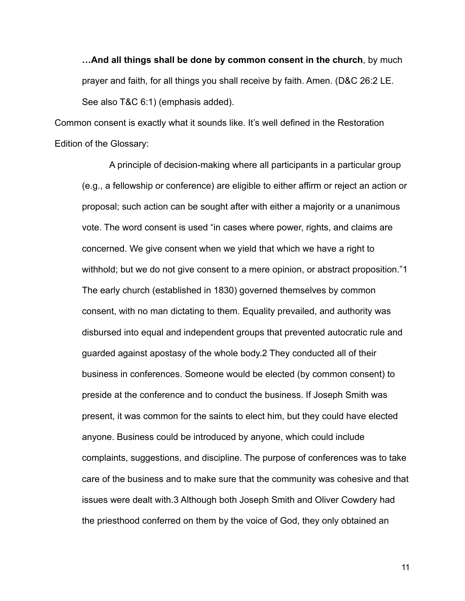**…And all things shall be done by common consent in the church**, by much prayer and faith, for all things you shall receive by faith. Amen. (D&C 26:2 LE. See also T&C 6:1) (emphasis added).

Common consent is exactly what it sounds like. It's well defined in the Restoration Edition of the Glossary:

A principle of decision-making where all participants in a particular group (e.g., a fellowship or conference) are eligible to either affirm or reject an action or proposal; such action can be sought after with either a majority or a unanimous vote. The word consent is used "in cases where power, rights, and claims are concerned. We give consent when we yield that which we have a right to withhold; but we do not give consent to a mere opinion, or abstract proposition."1 The early church (established in 1830) governed themselves by common consent, with no man dictating to them. Equality prevailed, and authority was disbursed into equal and independent groups that prevented autocratic rule and guarded against apostasy of the whole body.2 They conducted all of their business in conferences. Someone would be elected (by common consent) to preside at the conference and to conduct the business. If Joseph Smith was present, it was common for the saints to elect him, but they could have elected anyone. Business could be introduced by anyone, which could include complaints, suggestions, and discipline. The purpose of conferences was to take care of the business and to make sure that the community was cohesive and that issues were dealt with.3 Although both Joseph Smith and Oliver Cowdery had the priesthood conferred on them by the voice of God, they only obtained an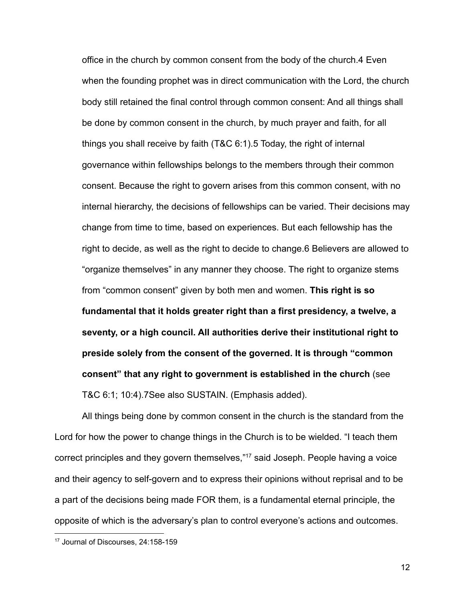office in the church by common consent from the body of the church.4 Even when the founding prophet was in direct communication with the Lord, the church body still retained the final control through common consent: And all things shall be done by common consent in the church, by much prayer and faith, for all things you shall receive by faith (T&C 6:1).5 Today, the right of internal governance within fellowships belongs to the members through their common consent. Because the right to govern arises from this common consent, with no internal hierarchy, the decisions of fellowships can be varied. Their decisions may change from time to time, based on experiences. But each fellowship has the right to decide, as well as the right to decide to change.6 Believers are allowed to "organize themselves" in any manner they choose. The right to organize stems from "common consent" given by both men and women. **This right is so fundamental that it holds greater right than a first presidency, a twelve, a seventy, or a high council. All authorities derive their institutional right to preside solely from the consent of the governed. It is through "common consent" that any right to government is established in the church** (see T&C 6:1; 10:4).7See also SUSTAIN. (Emphasis added).

All things being done by common consent in the church is the standard from the Lord for how the power to change things in the Church is to be wielded. "I teach them correct principles and they govern themselves,"<sup>17</sup> said Joseph. People having a voice and their agency to self-govern and to express their opinions without reprisal and to be a part of the decisions being made FOR them, is a fundamental eternal principle, the opposite of which is the adversary's plan to control everyone's actions and outcomes.

<sup>17</sup> Journal of Discourses, 24:158-159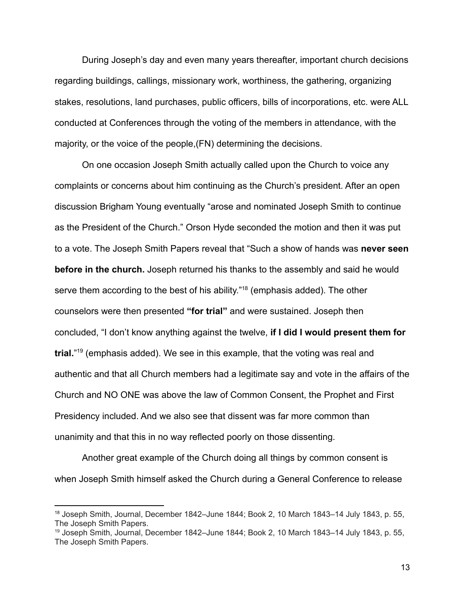During Joseph's day and even many years thereafter, important church decisions regarding buildings, callings, missionary work, worthiness, the gathering, organizing stakes, resolutions, land purchases, public officers, bills of incorporations, etc. were ALL conducted at Conferences through the voting of the members in attendance, with the majority, or the voice of the people,(FN) determining the decisions.

On one occasion Joseph Smith actually called upon the Church to voice any complaints or concerns about him continuing as the Church's president. After an open discussion Brigham Young eventually "arose and nominated Joseph Smith to continue as the President of the Church." Orson Hyde seconded the motion and then it was put to a vote. The Joseph Smith Papers reveal that "Such a show of hands was **never seen before in the church.** Joseph returned his thanks to the assembly and said he would serve them according to the best of his ability."<sup>18</sup> (emphasis added). The other counselors were then presented **"for trial"** and were sustained. Joseph then concluded, "I don't know anything against the twelve, **if I did I would present them for trial.**" 19 (emphasis added). We see in this example, that the voting was real and authentic and that all Church members had a legitimate say and vote in the affairs of the Church and NO ONE was above the law of Common Consent, the Prophet and First Presidency included. And we also see that dissent was far more common than unanimity and that this in no way reflected poorly on those dissenting.

Another great example of the Church doing all things by common consent is when Joseph Smith himself asked the Church during a General Conference to release

<sup>&</sup>lt;sup>18</sup> Joseph Smith, Journal, December 1842–June 1844; Book 2, 10 March 1843–14 July 1843, [p. 55,](https://www.josephsmithpapers.org/paper-summary/journal-december-1842-june-1844-book-2-10-march-1843-14-july-1843/63) The Joseph Smith Papers.

<sup>19</sup> Joseph Smith, Journal, December 1842–June 1844; Book 2, 10 March 1843–14 July 1843, [p. 55,](https://www.josephsmithpapers.org/paper-summary/journal-december-1842-june-1844-book-2-10-march-1843-14-july-1843/63) The Joseph Smith Papers.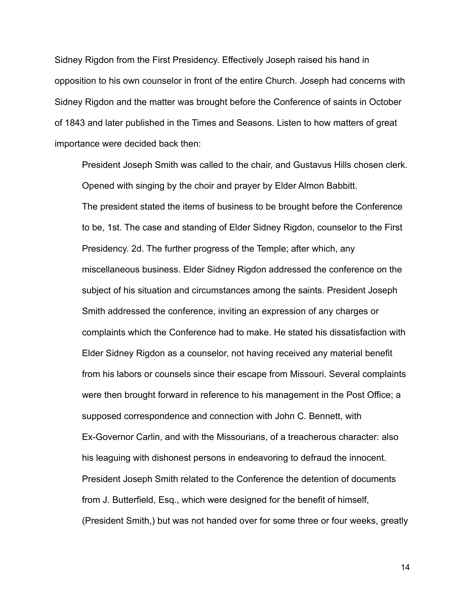Sidney Rigdon from the First Presidency. Effectively Joseph raised his hand in opposition to his own counselor in front of the entire Church. Joseph had concerns with Sidney Rigdon and the matter was brought before the Conference of saints in October of 1843 and later published in the Times and Seasons. Listen to how matters of great importance were decided back then:

President Joseph Smith was called to the chair, and Gustavus Hills chosen clerk. Opened with singing by the choir and prayer by Elder Almon Babbitt. The president stated the items of business to be brought before the Conference to be, 1st. The case and standing of Elder Sidney Rigdon, counselor to the First Presidency. 2d. The further progress of the Temple; after which, any miscellaneous business. Elder Sidney Rigdon addressed the conference on the subject of his situation and circumstances among the saints. President Joseph Smith addressed the conference, inviting an expression of any charges or complaints which the Conference had to make. He stated his dissatisfaction with Elder Sidney Rigdon as a counselor, not having received any material benefit from his labors or counsels since their escape from Missouri. Several complaints were then brought forward in reference to his management in the Post Office; a supposed correspondence and connection with John C. Bennett, with Ex-Governor Carlin, and with the Missourians, of a treacherous character: also his leaguing with dishonest persons in endeavoring to defraud the innocent. President Joseph Smith related to the Conference the detention of documents from J. Butterfield, Esq., which were designed for the benefit of himself, (President Smith,) but was not handed over for some three or four weeks, greatly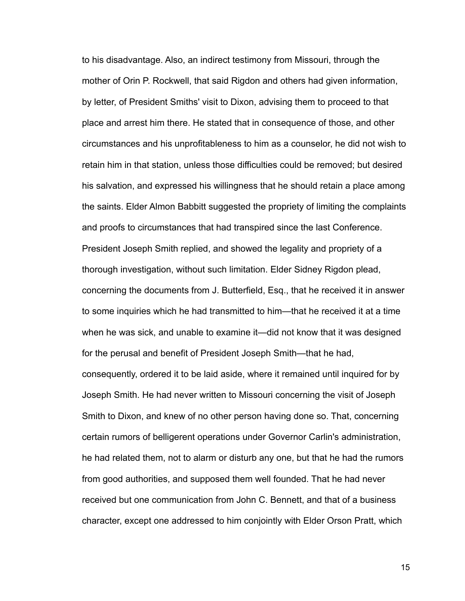to his disadvantage. Also, an indirect testimony from Missouri, through the mother of Orin P. Rockwell, that said Rigdon and others had given information, by letter, of President Smiths' visit to Dixon, advising them to proceed to that place and arrest him there. He stated that in consequence of those, and other circumstances and his unprofitableness to him as a counselor, he did not wish to retain him in that station, unless those difficulties could be removed; but desired his salvation, and expressed his willingness that he should retain a place among the saints. Elder Almon Babbitt suggested the propriety of limiting the complaints and proofs to circumstances that had transpired since the last Conference. President Joseph Smith replied, and showed the legality and propriety of a thorough investigation, without such limitation. Elder Sidney Rigdon plead, concerning the documents from J. Butterfield, Esq., that he received it in answer to some inquiries which he had transmitted to him—that he received it at a time when he was sick, and unable to examine it—did not know that it was designed for the perusal and benefit of President Joseph Smith—that he had, consequently, ordered it to be laid aside, where it remained until inquired for by Joseph Smith. He had never written to Missouri concerning the visit of Joseph Smith to Dixon, and knew of no other person having done so. That, concerning certain rumors of belligerent operations under Governor Carlin's administration, he had related them, not to alarm or disturb any one, but that he had the rumors from good authorities, and supposed them well founded. That he had never received but one communication from John C. Bennett, and that of a business character, except one addressed to him conjointly with Elder Orson Pratt, which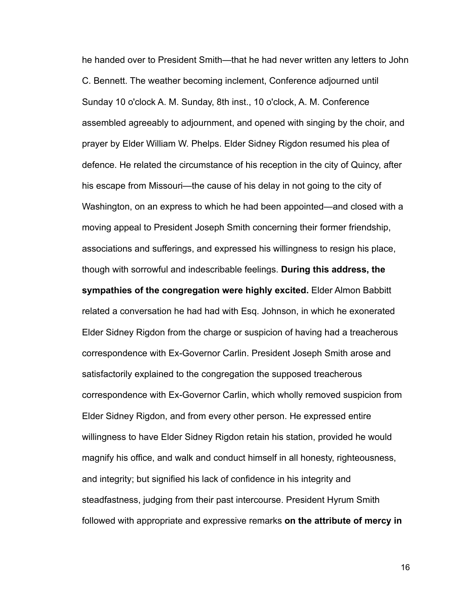he handed over to President Smith—that he had never written any letters to John C. Bennett. The weather becoming inclement, Conference adjourned until Sunday 10 o'clock A. M. Sunday, 8th inst., 10 o'clock, A. M. Conference assembled agreeably to adjournment, and opened with singing by the choir, and prayer by Elder William W. Phelps. Elder Sidney Rigdon resumed his plea of defence. He related the circumstance of his reception in the city of Quincy, after his escape from Missouri—the cause of his delay in not going to the city of Washington, on an express to which he had been appointed—and closed with a moving appeal to President Joseph Smith concerning their former friendship, associations and sufferings, and expressed his willingness to resign his place, though with sorrowful and indescribable feelings. **During this address, the sympathies of the congregation were highly excited.** Elder Almon Babbitt related a conversation he had had with Esq. Johnson, in which he exonerated Elder Sidney Rigdon from the charge or suspicion of having had a treacherous correspondence with Ex-Governor Carlin. President Joseph Smith arose and satisfactorily explained to the congregation the supposed treacherous correspondence with Ex-Governor Carlin, which wholly removed suspicion from Elder Sidney Rigdon, and from every other person. He expressed entire willingness to have Elder Sidney Rigdon retain his station, provided he would magnify his office, and walk and conduct himself in all honesty, righteousness, and integrity; but signified his lack of confidence in his integrity and steadfastness, judging from their past intercourse. President Hyrum Smith followed with appropriate and expressive remarks **on the attribute of mercy in**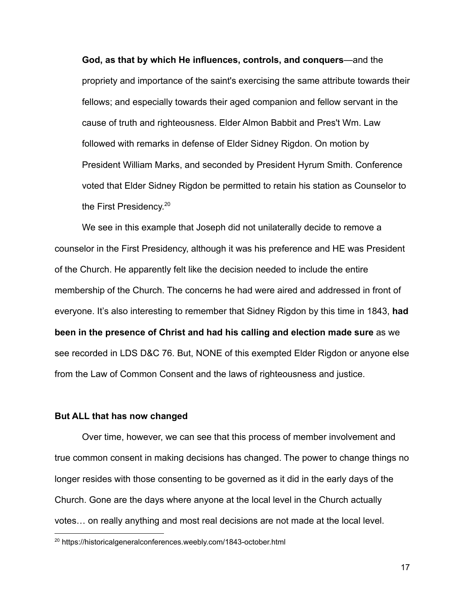**God, as that by which He influences, controls, and conquers**—and the propriety and importance of the saint's exercising the same attribute towards their fellows; and especially towards their aged companion and fellow servant in the cause of truth and righteousness. Elder Almon Babbit and Pres't Wm. Law followed with remarks in defense of Elder Sidney Rigdon. On motion by President William Marks, and seconded by President Hyrum Smith. Conference voted that Elder Sidney Rigdon be permitted to retain his station as Counselor to the First Presidency.<sup>20</sup>

We see in this example that Joseph did not unilaterally decide to remove a counselor in the First Presidency, although it was his preference and HE was President of the Church. He apparently felt like the decision needed to include the entire membership of the Church. The concerns he had were aired and addressed in front of everyone. It's also interesting to remember that Sidney Rigdon by this time in 1843, **had been in the presence of Christ and had his calling and election made sure** as we see recorded in LDS D&C 76. But, NONE of this exempted Elder Rigdon or anyone else from the Law of Common Consent and the laws of righteousness and justice.

## **But ALL that has now changed**

Over time, however, we can see that this process of member involvement and true common consent in making decisions has changed. The power to change things no longer resides with those consenting to be governed as it did in the early days of the Church. Gone are the days where anyone at the local level in the Church actually votes… on really anything and most real decisions are not made at the local level.

<sup>20</sup> https://historicalgeneralconferences.weebly.com/1843-october.html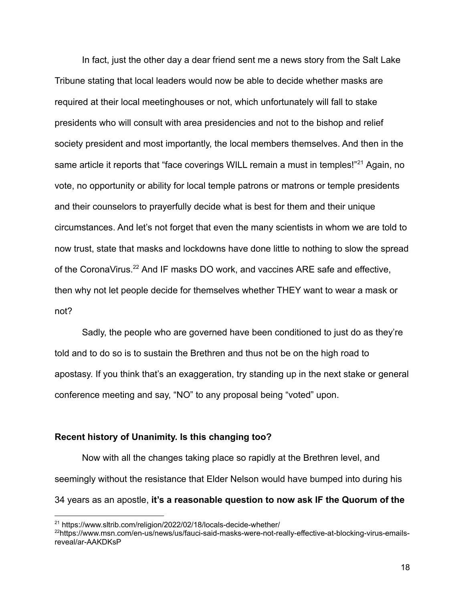In fact, just the other day a dear friend sent me a news story from the Salt Lake Tribune stating that local leaders would now be able to decide whether masks are required at their local meetinghouses or not, which unfortunately will fall to stake presidents who will consult with area presidencies and not to the bishop and relief society president and most importantly, the local members themselves. And then in the same article it reports that "face coverings WILL remain a must in temples!"<sup>21</sup> Again, no vote, no opportunity or ability for local temple patrons or matrons or temple presidents and their counselors to prayerfully decide what is best for them and their unique circumstances. And let's not forget that even the many scientists in whom we are told to now trust, state that masks and lockdowns have done little to nothing to slow the spread of the CoronaVirus.<sup>22</sup> And IF masks DO work, and vaccines ARE safe and effective, then why not let people decide for themselves whether THEY want to wear a mask or not?

Sadly, the people who are governed have been conditioned to just do as they're told and to do so is to sustain the Brethren and thus not be on the high road to apostasy. If you think that's an exaggeration, try standing up in the next stake or general conference meeting and say, "NO" to any proposal being "voted" upon.

## **Recent history of Unanimity. Is this changing too?**

Now with all the changes taking place so rapidly at the Brethren level, and seemingly without the resistance that Elder Nelson would have bumped into during his 34 years as an apostle, **it's a reasonable question to now ask IF the Quorum of the**

<sup>&</sup>lt;sup>21</sup> https://www.sltrib.com/religion/2022/02/18/locals-decide-whether/

<sup>22</sup>https://www.msn.com/en-us/news/us/fauci-said-masks-were-not-really-effective-at-blocking-virus-emailsreveal/ar-AAKDKsP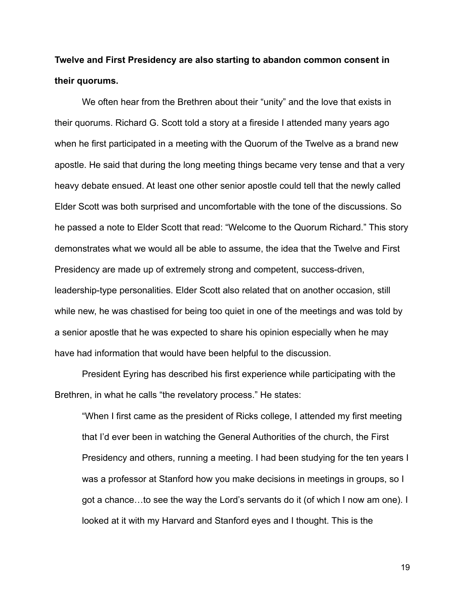# **Twelve and First Presidency are also starting to abandon common consent in their quorums.**

We often hear from the Brethren about their "unity" and the love that exists in their quorums. Richard G. Scott told a story at a fireside I attended many years ago when he first participated in a meeting with the Quorum of the Twelve as a brand new apostle. He said that during the long meeting things became very tense and that a very heavy debate ensued. At least one other senior apostle could tell that the newly called Elder Scott was both surprised and uncomfortable with the tone of the discussions. So he passed a note to Elder Scott that read: "Welcome to the Quorum Richard." This story demonstrates what we would all be able to assume, the idea that the Twelve and First Presidency are made up of extremely strong and competent, success-driven, leadership-type personalities. Elder Scott also related that on another occasion, still while new, he was chastised for being too quiet in one of the meetings and was told by a senior apostle that he was expected to share his opinion especially when he may have had information that would have been helpful to the discussion.

President Eyring has described his first experience while participating with the Brethren, in what he calls "the revelatory process." He states:

"When I first came as the president of Ricks college, I attended my first meeting that I'd ever been in watching the General Authorities of the church, the First Presidency and others, running a meeting. I had been studying for the ten years I was a professor at Stanford how you make decisions in meetings in groups, so I got a chance…to see the way the Lord's servants do it (of which I now am one). I looked at it with my Harvard and Stanford eyes and I thought. This is the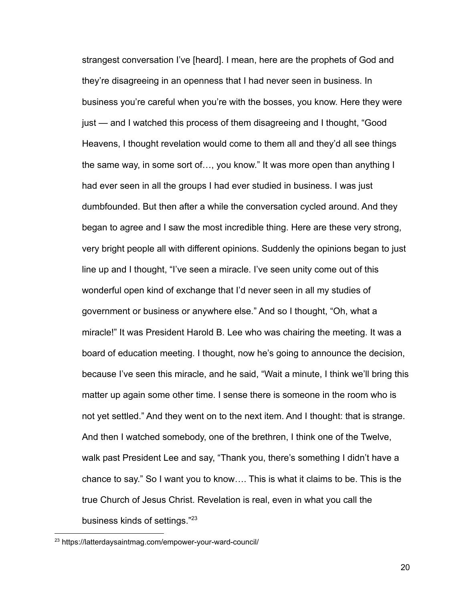strangest conversation I've [heard]. I mean, here are the prophets of God and they're disagreeing in an openness that I had never seen in business. In business you're careful when you're with the bosses, you know. Here they were just — and I watched this process of them disagreeing and I thought, "Good Heavens, I thought revelation would come to them all and they'd all see things the same way, in some sort of…, you know." It was more open than anything I had ever seen in all the groups I had ever studied in business. I was just dumbfounded. But then after a while the conversation cycled around. And they began to agree and I saw the most incredible thing. Here are these very strong, very bright people all with different opinions. Suddenly the opinions began to just line up and I thought, "I've seen a miracle. I've seen unity come out of this wonderful open kind of exchange that I'd never seen in all my studies of government or business or anywhere else." And so I thought, "Oh, what a miracle!" It was President Harold B. Lee who was chairing the meeting. It was a board of education meeting. I thought, now he's going to announce the decision, because I've seen this miracle, and he said, "Wait a minute, I think we'll bring this matter up again some other time. I sense there is someone in the room who is not yet settled." And they went on to the next item. And I thought: that is strange. And then I watched somebody, one of the brethren, I think one of the Twelve, walk past President Lee and say, "Thank you, there's something I didn't have a chance to say." So I want you to know…. This is what it claims to be. This is the true Church of Jesus Christ. Revelation is real, even in what you call the business kinds of settings."<sup>23</sup>

<sup>23</sup> https://latterdaysaintmag.com/empower-your-ward-council/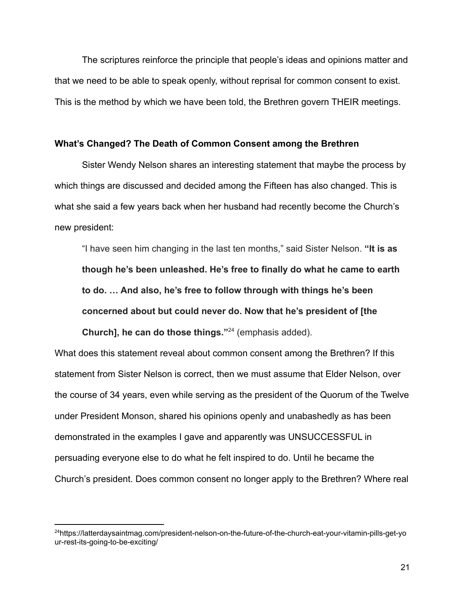The scriptures reinforce the principle that people's ideas and opinions matter and that we need to be able to speak openly, without reprisal for common consent to exist. This is the method by which we have been told, the Brethren govern THEIR meetings.

### **What's Changed? The Death of Common Consent among the Brethren**

Sister Wendy Nelson shares an interesting statement that maybe the process by which things are discussed and decided among the Fifteen has also changed. This is what she said a few years back when her husband had recently become the Church's new president:

"I have seen him changing in the last ten months," said Sister Nelson. **"It is as though he's been unleashed. He's free to finally do what he came to earth to do. … And also, he's free to follow through with things he's been concerned about but could never do. Now that he's president of [the Church], he can do those things."**<sup>24</sup> (emphasis added).

What does this statement reveal about common consent among the Brethren? If this statement from Sister Nelson is correct, then we must assume that Elder Nelson, over the course of 34 years, even while serving as the president of the Quorum of the Twelve under President Monson, shared his opinions openly and unabashedly as has been demonstrated in the examples I gave and apparently was UNSUCCESSFUL in persuading everyone else to do what he felt inspired to do. Until he became the Church's president. Does common consent no longer apply to the Brethren? Where real

<sup>24</sup>https://latterdaysaintmag.com/president-nelson-on-the-future-of-the-church-eat-your-vitamin-pills-get-yo ur-rest-its-going-to-be-exciting/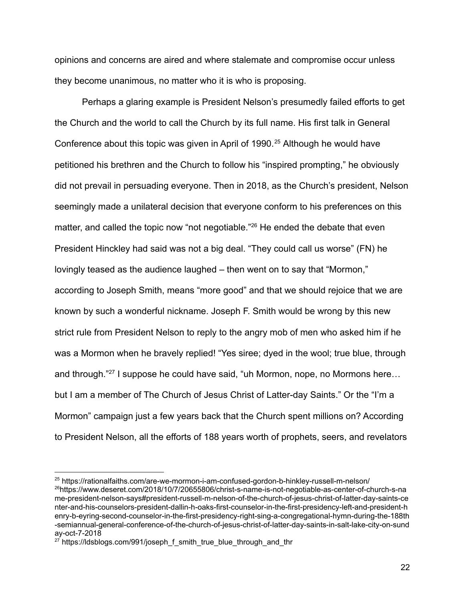opinions and concerns are aired and where stalemate and compromise occur unless they become unanimous, no matter who it is who is proposing.

Perhaps a glaring example is President Nelson's presumedly failed efforts to get the Church and the world to call the Church by its full name. His first talk in General Conference about this topic was given in April of 1990.<sup>25</sup> Although he would have petitioned his brethren and the Church to follow his "inspired prompting," he obviously did not prevail in persuading everyone. Then in 2018, as the Church's president, Nelson seemingly made a unilateral decision that everyone conform to his preferences on this matter, and called the topic now "not negotiable."<sup>26</sup> He ended the debate that even President Hinckley had said was not a big deal. "They could call us worse" (FN) he lovingly teased as the audience laughed – then went on to say that "Mormon," according to Joseph Smith, means "more good" and that we should rejoice that we are known by such a wonderful nickname. Joseph F. Smith would be wrong by this new strict rule from President Nelson to reply to the angry mob of men who asked him if he was a Mormon when he bravely replied! "Yes siree; dyed in the wool; true blue, through and through."<sup>27</sup> I suppose he could have said, "uh Mormon, nope, no Mormons here... but I am a member of The Church of Jesus Christ of Latter-day Saints." Or the "I'm a Mormon" campaign just a few years back that the Church spent millions on? According to President Nelson, all the efforts of 188 years worth of prophets, seers, and revelators

<sup>26</sup>https://www.deseret.com/2018/10/7/20655806/christ-s-name-is-not-negotiable-as-center-of-church-s-na me-president-nelson-says#president-russell-m-nelson-of-the-church-of-jesus-christ-of-latter-day-saints-ce nter-and-his-counselors-president-dallin-h-oaks-first-counselor-in-the-first-presidency-left-and-president-h enry-b-eyring-second-counselor-in-the-first-presidency-right-sing-a-congregational-hymn-during-the-188th -semiannual-general-conference-of-the-church-of-jesus-christ-of-latter-day-saints-in-salt-lake-city-on-sund ay-oct-7-2018 <sup>25</sup> https://rationalfaiths.com/are-we-mormon-i-am-confused-gordon-b-hinkley-russell-m-nelson/

 $27$  https://ldsblogs.com/991/joseph\_f\_smith\_true\_blue\_through\_and\_thr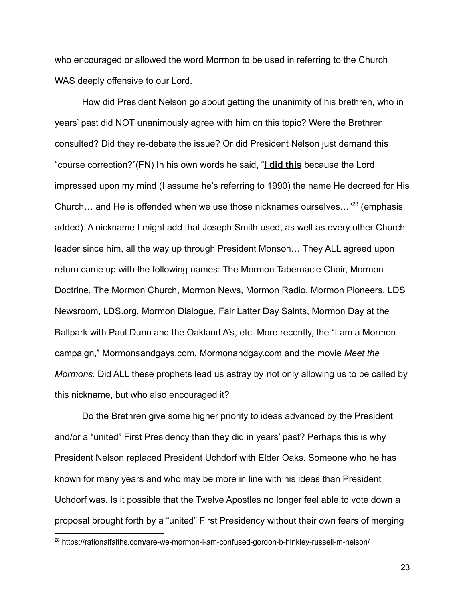who encouraged or allowed the word Mormon to be used in referring to the Church WAS deeply offensive to our Lord.

How did President Nelson go about getting the unanimity of his brethren, who in years' past did NOT unanimously agree with him on this topic? Were the Brethren consulted? Did they re-debate the issue? Or did President Nelson just demand this "course correction?"(FN) In his own words he said, "**I did this** because the Lord impressed upon my mind (I assume he's referring to 1990) the name He decreed for His Church... and He is offended when we use those nicknames ourselves... $^{28}$  (emphasis added). A nickname I might add that Joseph Smith used, as well as every other Church leader since him, all the way up through President Monson… They ALL agreed upon return came up with the following names: The Mormon Tabernacle Choir, Mormon Doctrine, The Mormon Church, Mormon News, Mormon Radio, Mormon Pioneers, LDS Newsroom, LDS.org, Mormon Dialogue, Fair Latter Day Saints, Mormon Day at the Ballpark with Paul Dunn and the Oakland A's, etc. More recently, the "I am a Mormon campaign," Mormonsandgays.com, Mormonandgay.com and the movie *Meet the Mormons.* Did ALL these prophets lead us astray by not only allowing us to be called by this nickname, but who also encouraged it?

Do the Brethren give some higher priority to ideas advanced by the President and/or a "united" First Presidency than they did in years' past? Perhaps this is why President Nelson replaced President Uchdorf with Elder Oaks. Someone who he has known for many years and who may be more in line with his ideas than President Uchdorf was. Is it possible that the Twelve Apostles no longer feel able to vote down a proposal brought forth by a "united" First Presidency without their own fears of merging

<sup>&</sup>lt;sup>28</sup> https://rationalfaiths.com/are-we-mormon-i-am-confused-gordon-b-hinkley-russell-m-nelson/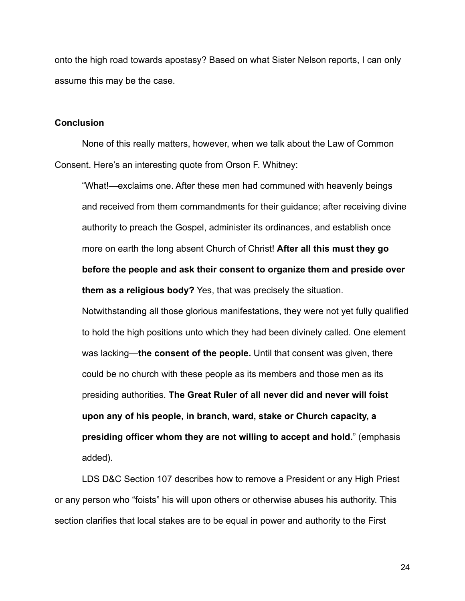onto the high road towards apostasy? Based on what Sister Nelson reports, I can only assume this may be the case.

#### **Conclusion**

None of this really matters, however, when we talk about the Law of Common Consent. Here's an interesting quote from Orson F. Whitney:

"What!—exclaims one. After these men had communed with heavenly beings and received from them commandments for their guidance; after receiving divine authority to preach the Gospel, administer its ordinances, and establish once more on earth the long absent Church of Christ! **After all this must they go before the people and ask their consent to organize them and preside over them as a religious body?** Yes, that was precisely the situation.

Notwithstanding all those glorious manifestations, they were not yet fully qualified to hold the high positions unto which they had been divinely called. One element was lacking—**the consent of the people.** Until that consent was given, there could be no church with these people as its members and those men as its presiding authorities. **The Great Ruler of all never did and never will foist upon any of his people, in branch, ward, stake or Church capacity, a presiding officer whom they are not willing to accept and hold.**" (emphasis added).

LDS D&C Section 107 describes how to remove a President or any High Priest or any person who "foists" his will upon others or otherwise abuses his authority. This section clarifies that local stakes are to be equal in power and authority to the First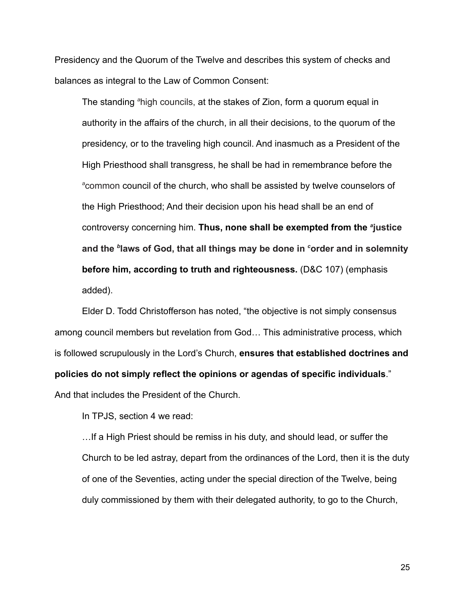Presidency and the Quorum of the Twelve and describes this system of checks and balances as integral to the Law of Common Consent:

The standing *<sup>a</sup>*[high councils](https://www.churchofjesuschrist.org/study/scriptures/dc-testament/dc/107?lang=eng#note36a), at the stakes of Zion, form a quorum equal in authority in the affairs of the church, in all their decisions, to the quorum of the presidency, or to the traveling high council. And inasmuch as a President of the High Priesthood shall transgress, he shall be had in remembrance before the *<sup>a</sup>*[common](https://www.churchofjesuschrist.org/study/scriptures/dc-testament/dc/107?lang=eng#note82a) council of the church, who shall be assisted by twelve counselors of the High Priesthood; And their decision upon his head shall be an end of controversy concerning him. Thus, none shall be exempted from the <sup>a</sup>[justice](https://www.churchofjesuschrist.org/study/scriptures/dc-testament/dc/107?lang=eng#note84a) **and the** *<sup>b</sup>* **[laws](https://www.churchofjesuschrist.org/study/scriptures/dc-testament/dc/107?lang=eng#note84b) of God, that all things may be done in** *<sup>c</sup>***[order](https://www.churchofjesuschrist.org/study/scriptures/dc-testament/dc/107?lang=eng#note84c) and in solemnity before him, according to truth and righteousness.** (D&C 107) (emphasis added).

Elder D. Todd Christofferson has noted, "the objective is not simply consensus among council members but revelation from God… This administrative process, which is followed scrupulously in the Lord's Church, **ensures that established doctrines and policies do not simply reflect the opinions or agendas of specific individuals**." And that includes the President of the Church.

In TPJS, section 4 we read:

…If a High Priest should be remiss in his duty, and should lead, or suffer the Church to be led astray, depart from the ordinances of the Lord, then it is the duty of one of the Seventies, acting under the special direction of the Twelve, being duly commissioned by them with their delegated authority, to go to the Church,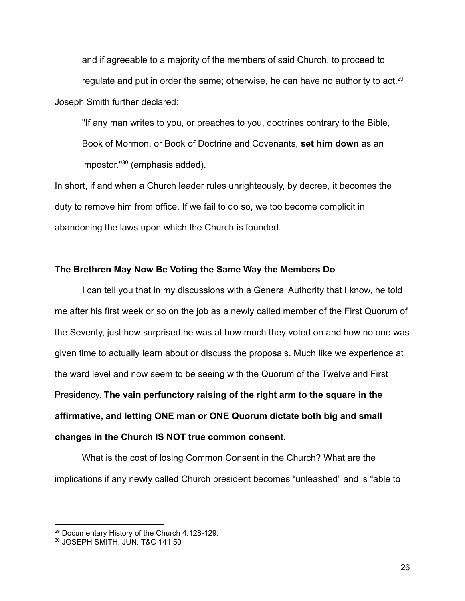and if agreeable to a majority of the members of said Church, to proceed to regulate and put in order the same; otherwise, he can have no authority to act.<sup>29</sup> Joseph Smith further declared:

"If any man writes to you, or preaches to you, doctrines contrary to the Bible, Book of Mormon, or Book of Doctrine and Covenants, **set him down** as an impostor."<sup>30</sup> (emphasis added).

In short, if and when a Church leader rules unrighteously, by decree, it becomes the duty to remove him from office. If we fail to do so, we too become complicit in abandoning the laws upon which the Church is founded.

### **The Brethren May Now Be Voting the Same Way the Members Do**

I can tell you that in my discussions with a General Authority that I know, he told me after his first week or so on the job as a newly called member of the First Quorum of the Seventy, just how surprised he was at how much they voted on and how no one was given time to actually learn about or discuss the proposals. Much like we experience at the ward level and now seem to be seeing with the Quorum of the Twelve and First Presidency. **The vain perfunctory raising of the right arm to the square in the affirmative, and letting ONE man or ONE Quorum dictate both big and small changes in the Church IS NOT true common consent.**

What is the cost of losing Common Consent in the Church? What are the implications if any newly called Church president becomes "unleashed" and is "able to

<sup>29</sup> Documentary History of the Church 4:128-129.

<sup>&</sup>lt;sup>30</sup> JOSEPH SMITH, JUN, T&C 141:50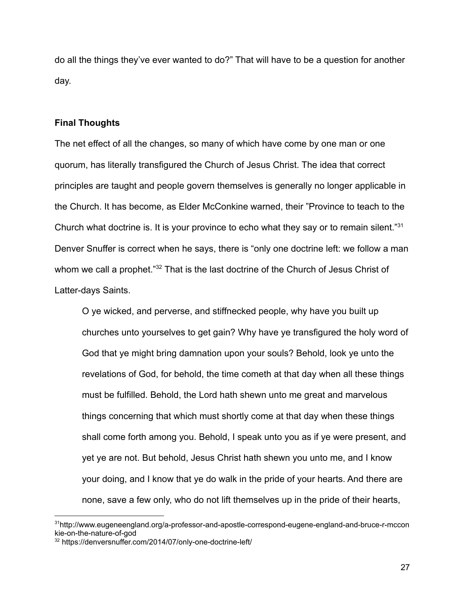do all the things they've ever wanted to do?" That will have to be a question for another day.

## **Final Thoughts**

The net effect of all the changes, so many of which have come by one man or one quorum, has literally transfigured the Church of Jesus Christ. The idea that correct principles are taught and people govern themselves is generally no longer applicable in the Church. It has become, as Elder McConkine warned, their "Province to teach to the Church what doctrine is. It is your province to echo what they say or to remain silent."<sup>31</sup> Denver Snuffer is correct when he says, there is "only one doctrine left: we follow a man whom we call a prophet."<sup>32</sup> That is the last doctrine of the Church of Jesus Christ of Latter-days Saints.

O ye wicked, and perverse, and stiffnecked people, why have you built up churches unto yourselves to get gain? Why have ye transfigured the holy word of God that ye might bring damnation upon your souls? Behold, look ye unto the revelations of God, for behold, the time cometh at that day when all these things must be fulfilled. Behold, the Lord hath shewn unto me great and marvelous things concerning that which must shortly come at that day when these things shall come forth among you. Behold, I speak unto you as if ye were present, and yet ye are not. But behold, Jesus Christ hath shewn you unto me, and I know your doing, and I know that ye do walk in the pride of your hearts. And there are none, save a few only, who do not lift themselves up in the pride of their hearts,

<sup>31</sup>http://www.eugeneengland.org/a-professor-and-apostle-correspond-eugene-england-and-bruce-r-mccon kie-on-the-nature-of-god

<sup>32</sup> https://denversnuffer.com/2014/07/only-one-doctrine-left/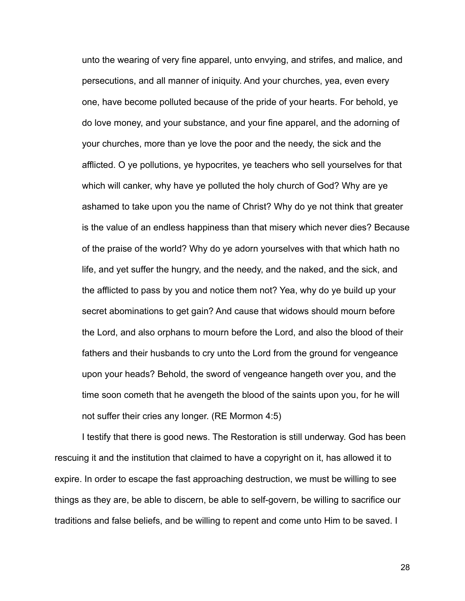unto the wearing of very fine apparel, unto envying, and strifes, and malice, and persecutions, and all manner of iniquity. And your churches, yea, even every one, have become polluted because of the pride of your hearts. For behold, ye do love money, and your substance, and your fine apparel, and the adorning of your churches, more than ye love the poor and the needy, the sick and the afflicted. O ye pollutions, ye hypocrites, ye teachers who sell yourselves for that which will canker, why have ye polluted the holy church of God? Why are ye ashamed to take upon you the name of Christ? Why do ye not think that greater is the value of an endless happiness than that misery which never dies? Because of the praise of the world? Why do ye adorn yourselves with that which hath no life, and yet suffer the hungry, and the needy, and the naked, and the sick, and the afflicted to pass by you and notice them not? Yea, why do ye build up your secret abominations to get gain? And cause that widows should mourn before the Lord, and also orphans to mourn before the Lord, and also the blood of their fathers and their husbands to cry unto the Lord from the ground for vengeance upon your heads? Behold, the sword of vengeance hangeth over you, and the time soon cometh that he avengeth the blood of the saints upon you, for he will not suffer their cries any longer. (RE Mormon 4:5)

I testify that there is good news. The Restoration is still underway. God has been rescuing it and the institution that claimed to have a copyright on it, has allowed it to expire. In order to escape the fast approaching destruction, we must be willing to see things as they are, be able to discern, be able to self-govern, be willing to sacrifice our traditions and false beliefs, and be willing to repent and come unto Him to be saved. I